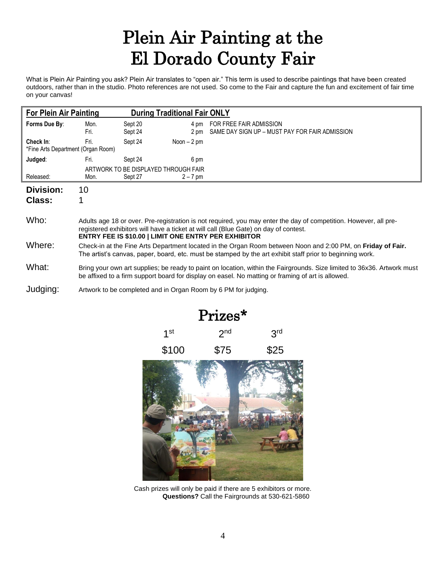## Plein Air Painting at the El Dorado County Fair

What is Plein Air Painting you ask? Plein Air translates to "open air." This term is used to describe paintings that have been created outdoors, rather than in the studio. Photo references are not used. So come to the Fair and capture the fun and excitement of fair time on your canvas!

| <b>For Plein Air Painting</b>                   |                                                                                                                                                                                                                                                                         | <b>During Traditional Fair ONLY</b> |              |                                                                           |  |  |  |
|-------------------------------------------------|-------------------------------------------------------------------------------------------------------------------------------------------------------------------------------------------------------------------------------------------------------------------------|-------------------------------------|--------------|---------------------------------------------------------------------------|--|--|--|
| Forms Due By:                                   | Mon.<br>Fri.                                                                                                                                                                                                                                                            | Sept 20<br>Sept 24                  | 4 pm<br>2 pm | FOR FREE FAIR ADMISSION<br>SAME DAY SIGN UP - MUST PAY FOR FAIR ADMISSION |  |  |  |
| Check In:<br>*Fine Arts Department (Organ Room) | Fri.                                                                                                                                                                                                                                                                    | Sept 24                             | Noon $-2$ pm |                                                                           |  |  |  |
| Judged:                                         | Fri.                                                                                                                                                                                                                                                                    | Sept 24                             | 6 pm         |                                                                           |  |  |  |
| ARTWORK TO BE DISPLAYED THROUGH FAIR            |                                                                                                                                                                                                                                                                         |                                     |              |                                                                           |  |  |  |
| Released:                                       | Mon.                                                                                                                                                                                                                                                                    | Sept 27                             | $2 - 7$ pm   |                                                                           |  |  |  |
| Division:                                       | 10                                                                                                                                                                                                                                                                      |                                     |              |                                                                           |  |  |  |
| <b>Class:</b>                                   |                                                                                                                                                                                                                                                                         |                                     |              |                                                                           |  |  |  |
| Who:                                            | Adults age 18 or over. Pre-registration is not required, you may enter the day of competition. However, all pre-<br>registered exhibitors will have a ticket at will call (Blue Gate) on day of contest.<br><b>ENTRY FEE IS \$10.00   LIMIT ONE ENTRY PER EXHIBITOR</b> |                                     |              |                                                                           |  |  |  |
| Where:                                          | Check-in at the Fine Arts Department located in the Organ Room between Noon and 2:00 PM, on <b>Friday of Fair.</b><br>The artist's canvas, paper, board, etc. must be stamped by the art exhibit staff prior to beginning work.                                         |                                     |              |                                                                           |  |  |  |
| What:                                           | Bring your own art supplies; be ready to paint on location, within the Fairgrounds. Size limited to 36x36. Artwork must<br>be affixed to a firm support board for display on easel. No matting or framing of art is allowed.                                            |                                     |              |                                                                           |  |  |  |
| Judging:                                        | Artwork to be completed and in Organ Room by 6 PM for judging.                                                                                                                                                                                                          |                                     |              |                                                                           |  |  |  |



Cash prizes will only be paid if there are 5 exhibitors or more. **Questions?** Call the Fairgrounds at 530-621-5860